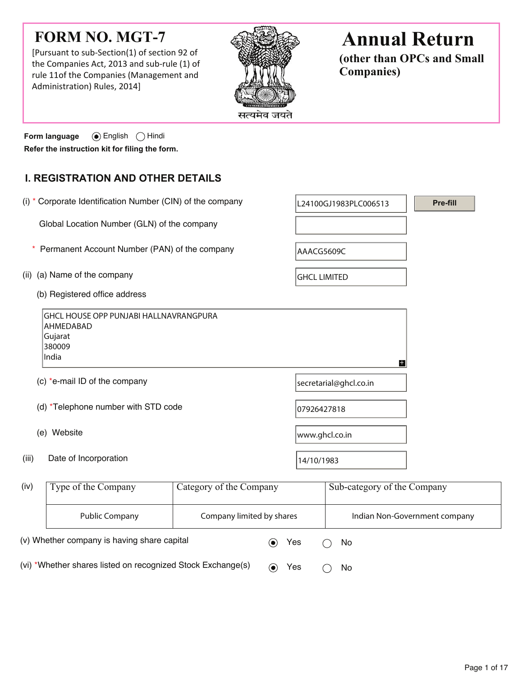# **FORM NO. MGT-7**

[Pursuant to sub-Section(1) of section 92 of the Companies Act, 2013 and sub-rule (1) of rule 11of the Companies (Management and Administration) Rules, 2014]



# **Annual Return**

**(other than OPCs and Small Companies)**

**Form language**  $\odot$  English  $\odot$  Hindi **Refer the instruction kit for filing the form.**

# **I. REGISTRATION AND OTHER DETAILS**

|                                                                                        | (i) * Corporate Identification Number (CIN) of the company                           |                         | L24100GJ1983PLC006513  |                             | Pre-fill                      |  |  |
|----------------------------------------------------------------------------------------|--------------------------------------------------------------------------------------|-------------------------|------------------------|-----------------------------|-------------------------------|--|--|
|                                                                                        | Global Location Number (GLN) of the company                                          |                         |                        |                             |                               |  |  |
|                                                                                        | Permanent Account Number (PAN) of the company                                        |                         |                        | AAACG5609C                  |                               |  |  |
| (a) Name of the company<br>(ii)                                                        |                                                                                      |                         | <b>GHCL LIMITED</b>    |                             |                               |  |  |
|                                                                                        | (b) Registered office address                                                        |                         |                        |                             |                               |  |  |
| GHCL HOUSE OPP PUNJABI HALLNAVRANGPURA<br>AHMEDABAD<br>Gujarat<br>380009<br>India<br>H |                                                                                      |                         |                        |                             |                               |  |  |
| (c) *e-mail ID of the company                                                          |                                                                                      |                         | secretarial@ghcl.co.in |                             |                               |  |  |
|                                                                                        | (d) *Telephone number with STD code                                                  |                         | 07926427818            |                             |                               |  |  |
|                                                                                        | (e) Website                                                                          |                         | www.ghcl.co.in         |                             |                               |  |  |
| (iii)                                                                                  | Date of Incorporation                                                                |                         | 14/10/1983             |                             |                               |  |  |
| (iv)                                                                                   | Type of the Company                                                                  | Category of the Company |                        | Sub-category of the Company |                               |  |  |
|                                                                                        | <b>Public Company</b><br>Company limited by shares                                   |                         |                        |                             | Indian Non-Government company |  |  |
|                                                                                        | (v) Whether company is having share capital<br>Yes<br>$\left( \bullet \right)$<br>No |                         |                        |                             |                               |  |  |

(vi) \*Whether shares listed on recognized Stock Exchange(s)  $\qquad \qquad \bullet \qquad \text{Yes} \qquad \bigcirc \quad \text{No}$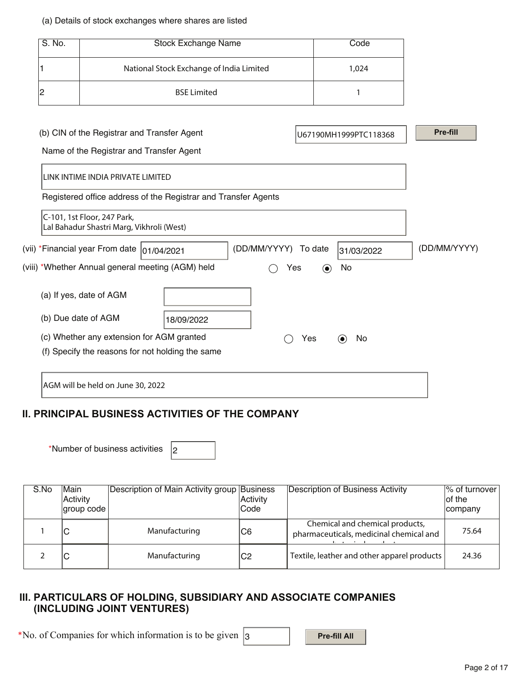#### (a) Details of stock exchanges where shares are listed

| S. No. | <b>Stock Exchange Name</b>               | Code  |
|--------|------------------------------------------|-------|
|        | National Stock Exchange of India Limited | 1,024 |
|        | <b>BSE Limited</b>                       |       |

| (b) CIN of the Registrar and Transfer Agent                              |            |                      |         | U67190MH1999PTC118368          | Pre-fill     |
|--------------------------------------------------------------------------|------------|----------------------|---------|--------------------------------|--------------|
| Name of the Registrar and Transfer Agent                                 |            |                      |         |                                |              |
| LINK INTIME INDIA PRIVATE LIMITED                                        |            |                      |         |                                |              |
| Registered office address of the Registrar and Transfer Agents           |            |                      |         |                                |              |
| C-101, 1st Floor, 247 Park,<br>Lal Bahadur Shastri Marg, Vikhroli (West) |            |                      |         |                                |              |
| (vii) *Financial year From date  01/04/2021                              |            | (DD/MM/YYYY) To date |         | 31/03/2022                     | (DD/MM/YYYY) |
| (viii) *Whether Annual general meeting (AGM) held                        |            | Yes                  | $\odot$ | No                             |              |
| (a) If yes, date of AGM                                                  |            |                      |         |                                |              |
| (b) Due date of AGM                                                      | 18/09/2022 |                      |         |                                |              |
| (c) Whether any extension for AGM granted                                |            |                      | Yes     | No<br>$\left( \bullet \right)$ |              |
| (f) Specify the reasons for not holding the same                         |            |                      |         |                                |              |

### **II. PRINCIPAL BUSINESS ACTIVITIES OF THE COMPANY**

\*Number of business activities  $|2|$ 

| S.No | <b>Main</b><br>Activity<br>group code | Description of Main Activity group Business | Activity<br>Code | Description of Business Activity                                           | Ⅰ% of turnover<br>lof the<br>company |
|------|---------------------------------------|---------------------------------------------|------------------|----------------------------------------------------------------------------|--------------------------------------|
|      | ⌒<br>ັ                                | Manufacturing                               | IC6              | Chemical and chemical products,<br>pharmaceuticals, medicinal chemical and | 75.64                                |
|      | ◡                                     | Manufacturing                               | IC2              | Textile, leather and other apparel products                                | 24.36                                |

### **III. PARTICULARS OF HOLDING, SUBSIDIARY AND ASSOCIATE COMPANIES (INCLUDING JOINT VENTURES)**

\*No. of Companies for which information is to be given  $\vert$ 3 **Pre-fill All**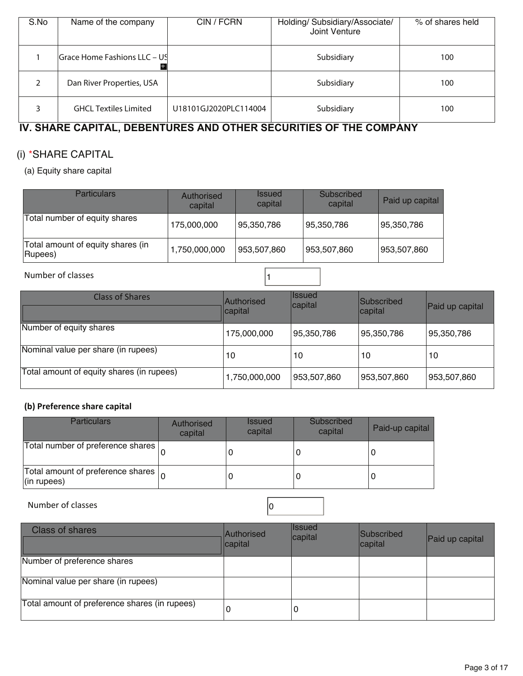| S.No | Name of the company            | CIN / FCRN            | Holding/ Subsidiary/Associate/<br>Joint Venture | % of shares held |
|------|--------------------------------|-----------------------|-------------------------------------------------|------------------|
|      | lGrace Home Fashions LLC – USI |                       | Subsidiary                                      | 100              |
| ∍    | Dan River Properties, USA      |                       | Subsidiary                                      | 100              |
|      | <b>GHCL Textiles Limited</b>   | U18101GJ2020PLC114004 | Subsidiary                                      | 100              |

# **IV. SHARE CAPITAL, DEBENTURES AND OTHER SECURITIES OF THE COMPANY**

# (i) \*SHARE CAPITAL

(a) Equity share capital

| <b>Particulars</b>                           | Authorised<br>capital | <b>Issued</b><br>capital | Subscribed<br>capital | Paid up capital |
|----------------------------------------------|-----------------------|--------------------------|-----------------------|-----------------|
| Total number of equity shares                | 175,000,000           | 95,350,786               | 95,350,786            | 95,350,786      |
| Total amount of equity shares (in<br>Rupees) | 1,750,000,000         | 953,507,860              | 953,507,860           | 953,507,860     |

#### Number of classes and the set of  $\vert$  1

| <b>Class of Shares</b>                    | <b>Authorised</b><br>capital | Ilssued<br>capital | <b>Subscribed</b><br>capital | Paid up capital |
|-------------------------------------------|------------------------------|--------------------|------------------------------|-----------------|
| Number of equity shares                   | 175,000,000                  | 95,350,786         | 95,350,786                   | 95,350,786      |
| Nominal value per share (in rupees)       | 10                           | 10                 | 10                           | 10              |
| Total amount of equity shares (in rupees) | 1,750,000,000                | 953,507,860        | 953,507,860                  | 953,507,860     |

### **(b) Preference share capital**

| <b>Particulars</b>                                                | Authorised<br>capital | <b>Issued</b><br>capital | Subscribed<br>capital | Paid-up capital |
|-------------------------------------------------------------------|-----------------------|--------------------------|-----------------------|-----------------|
| Total number of preference shares                                 |                       |                          |                       |                 |
| Total amount of preference shares $\vert_{\Omega}$<br>(in rupees) |                       |                          |                       |                 |

Number of classes and contact the contact of classes and contact of  $\sim$  0

| <b>Class of shares</b>                        | Authorised<br>capital | <b>Issued</b><br>capital | Subscribed<br>capital | Paid up capital |
|-----------------------------------------------|-----------------------|--------------------------|-----------------------|-----------------|
| Number of preference shares                   |                       |                          |                       |                 |
| Nominal value per share (in rupees)           |                       |                          |                       |                 |
| Total amount of preference shares (in rupees) | 0                     | 0                        |                       |                 |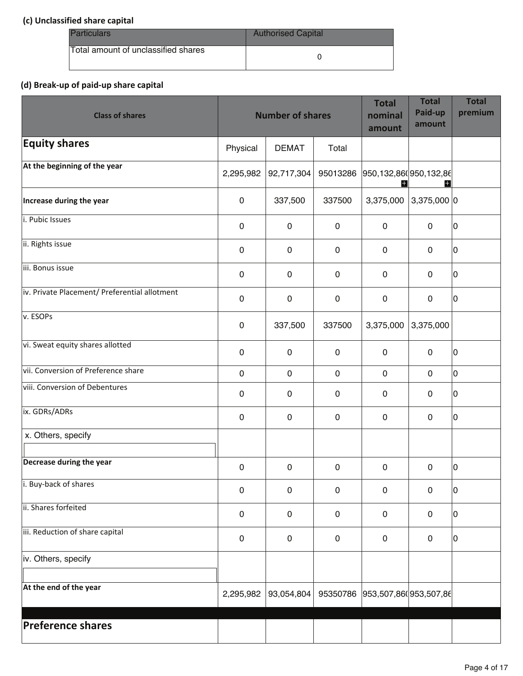#### **(c) Unclassified share capital**

| <b>Particulars</b>                  | <b>Authorised Capital</b> |
|-------------------------------------|---------------------------|
| Total amount of unclassified shares |                           |

#### **(d) Break-up of paid-up share capital**

| <b>Class of shares</b>                        |             | <b>Number of shares</b> |             | <b>Total</b><br>nominal<br>amount | <b>Total</b><br>Paid-up<br>amount | <b>Total</b><br>premium |
|-----------------------------------------------|-------------|-------------------------|-------------|-----------------------------------|-----------------------------------|-------------------------|
| <b>Equity shares</b>                          | Physical    | <b>DEMAT</b>            | Total       |                                   |                                   |                         |
| At the beginning of the year                  | 2,295,982   | 92,717,304              | 95013286    | 950,132,86( 950,132,86            | H                                 |                         |
| Increase during the year                      | $\pmb{0}$   | 337,500                 | 337500      | 3,375,000                         | $3,375,000$ 0                     |                         |
| i. Pubic Issues                               | $\mathbf 0$ | $\mathbf{0}$            | $\mathbf 0$ | $\mathbf 0$                       | $\mathbf 0$                       | 10                      |
| ii. Rights issue                              | $\pmb{0}$   | 0                       | $\mathbf 0$ | $\pmb{0}$                         | $\mathbf 0$                       | 10                      |
| iii. Bonus issue                              | 0           | 0                       | $\mathbf 0$ | $\mathbf 0$                       | $\mathbf 0$                       | 0                       |
| iv. Private Placement/ Preferential allotment | $\pmb{0}$   | 0                       | $\pmb{0}$   | $\pmb{0}$                         | $\pmb{0}$                         | 0                       |
| v. ESOPs                                      | $\pmb{0}$   | 337,500                 | 337500      | 3,375,000                         | 3,375,000                         |                         |
| vi. Sweat equity shares allotted              | $\pmb{0}$   | $\mathbf 0$             | $\mathbf 0$ | $\pmb{0}$                         | $\mathbf 0$                       | 10                      |
| vii. Conversion of Preference share           | $\mathbf 0$ | $\mathbf 0$             | $\mathbf 0$ | $\pmb{0}$                         | $\mathbf 0$                       | l٥                      |
| viii. Conversion of Debentures                | $\mathbf 0$ | 0                       | $\mathbf 0$ | $\pmb{0}$                         | $\mathbf 0$                       | 10                      |
| ix. GDRs/ADRs                                 | $\pmb{0}$   | $\mathbf 0$             | $\mathbf 0$ | $\mathbf 0$                       | $\mathbf 0$                       | l0                      |
| x. Others, specify                            |             |                         |             |                                   |                                   |                         |
| Decrease during the year                      | $\mathbf 0$ | 0                       | $\mathbf 0$ | 0                                 | 0                                 | l0                      |
| i. Buy-back of shares                         | $\pmb{0}$   | $\pmb{0}$               | $\mathbf 0$ | $\pmb{0}$                         | $\pmb{0}$                         | 10                      |
| ii. Shares forfeited                          | $\mathbf 0$ | $\mathbf 0$             | $\mathbf 0$ | $\pmb{0}$                         | $\mathbf 0$                       | 10                      |
| iii. Reduction of share capital               | $\pmb{0}$   | 0                       | $\mathbf 0$ | $\mathbf 0$                       | $\mathbf 0$                       | l0                      |
| iv. Others, specify                           |             |                         |             |                                   |                                   |                         |
| At the end of the year                        | 2,295,982   | 93,054,804              |             | 95350786 953,507,860 953,507,86   |                                   |                         |
| <b>Preference shares</b>                      |             |                         |             |                                   |                                   |                         |
|                                               |             |                         |             |                                   |                                   |                         |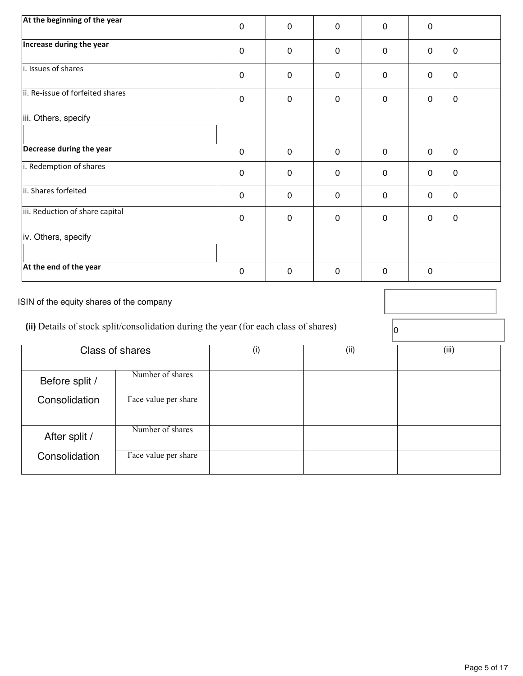| At the beginning of the year     | $\mathbf 0$ | 0            | $\mathbf 0$ | 0           | 0           |    |
|----------------------------------|-------------|--------------|-------------|-------------|-------------|----|
| Increase during the year         | $\mathbf 0$ | $\mathbf 0$  | $\mathbf 0$ | $\mathbf 0$ | $\mathbf 0$ | 10 |
| i. Issues of shares              |             |              |             |             |             |    |
|                                  | $\mathbf 0$ | $\mathbf{0}$ | $\mathbf 0$ | $\mathbf 0$ | $\mathbf 0$ | 10 |
| ii. Re-issue of forfeited shares | $\mathbf 0$ | $\mathbf 0$  | $\mathbf 0$ | $\mathbf 0$ | $\mathbf 0$ | 10 |
| iii. Others, specify             |             |              |             |             |             |    |
| Decrease during the year         | $\mathbf 0$ | $\mathbf 0$  | $\mathbf 0$ | $\mathbf 0$ | $\mathbf 0$ | 10 |
| i. Redemption of shares          | $\mathbf 0$ | $\mathbf{0}$ | $\mathbf 0$ | $\mathbf 0$ | $\mathbf 0$ | 10 |
| ii. Shares forfeited             | $\mathbf 0$ | $\mathbf 0$  | $\mathbf 0$ | $\mathbf 0$ | $\mathbf 0$ | 10 |
| iii. Reduction of share capital  | $\mathbf 0$ | $\mathbf 0$  | $\mathbf 0$ | $\mathbf 0$ | $\mathbf 0$ | 10 |
| iv. Others, specify              |             |              |             |             |             |    |
| At the end of the year           | $\mathbf 0$ | 0            | $\mathbf 0$ | 0           | 0           |    |

ISIN of the equity shares of the company

(ii) Details of stock split/consolidation during the year (for each class of shares)  $\boxed{0}$ 

| <b>Class of shares</b> |                      | (i) | (ii) | (iii) |
|------------------------|----------------------|-----|------|-------|
| Before split /         | Number of shares     |     |      |       |
| Consolidation          | Face value per share |     |      |       |
| After split /          | Number of shares     |     |      |       |
| Consolidation          | Face value per share |     |      |       |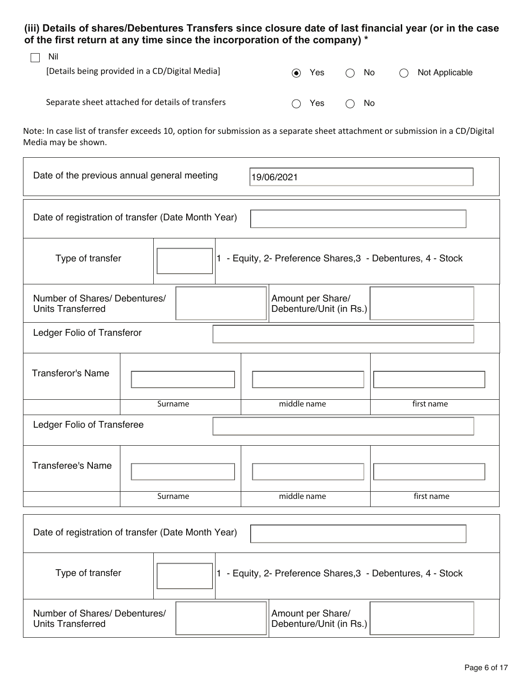**(iii) Details of shares/Debentures Transfers since closure date of last financial year (or in the case of the first return at any time since the incorporation of the company) \*** 

| Nil                                              |                          |     |     |              |   |                |
|--------------------------------------------------|--------------------------|-----|-----|--------------|---|----------------|
| [Details being provided in a CD/Digital Media]   | $\left( \bullet \right)$ | Yes | ( ) | No.          | ( | Not Applicable |
|                                                  |                          |     |     |              |   |                |
| Separate sheet attached for details of transfers | (                        | Yes |     | $\bigcap$ No |   |                |
|                                                  |                          |     |     |              |   |                |

Note: In case list of transfer exceeds 10, option for submission as a separate sheet attachment or submission in a CD/Digital Media may be shown.

| Date of the previous annual general meeting<br>19/06/2021                                                 |         |  |  |  |                                                             |            |  |
|-----------------------------------------------------------------------------------------------------------|---------|--|--|--|-------------------------------------------------------------|------------|--|
| Date of registration of transfer (Date Month Year)                                                        |         |  |  |  |                                                             |            |  |
| 1 - Equity, 2- Preference Shares, 3 - Debentures, 4 - Stock<br>Type of transfer                           |         |  |  |  |                                                             |            |  |
| Number of Shares/ Debentures/<br>Amount per Share/<br>Debenture/Unit (in Rs.)<br><b>Units Transferred</b> |         |  |  |  |                                                             |            |  |
| Ledger Folio of Transferor                                                                                |         |  |  |  |                                                             |            |  |
| <b>Transferor's Name</b>                                                                                  |         |  |  |  |                                                             |            |  |
|                                                                                                           | Surname |  |  |  | middle name                                                 | first name |  |
| Ledger Folio of Transferee                                                                                |         |  |  |  |                                                             |            |  |
| <b>Transferee's Name</b>                                                                                  |         |  |  |  |                                                             |            |  |
|                                                                                                           | Surname |  |  |  | middle name                                                 | first name |  |
| Date of registration of transfer (Date Month Year)                                                        |         |  |  |  |                                                             |            |  |
| Type of transfer                                                                                          |         |  |  |  | 1 - Equity, 2- Preference Shares, 3 - Debentures, 4 - Stock |            |  |

| .                                                         |  |                                              |  |
|-----------------------------------------------------------|--|----------------------------------------------|--|
| Number of Shares/ Debentures/<br><b>Units Transferred</b> |  | Amount per Share/<br>Debenture/Unit (in Rs.) |  |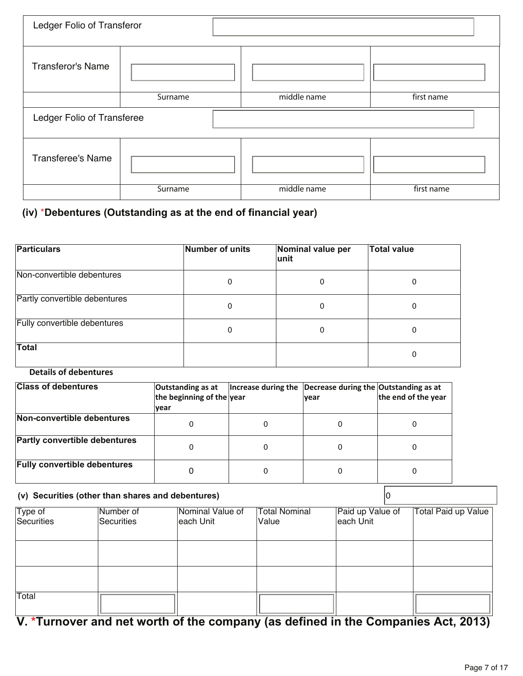| Ledger Folio of Transferor |         |             |            |  |  |
|----------------------------|---------|-------------|------------|--|--|
| <b>Transferor's Name</b>   |         |             |            |  |  |
|                            | Surname | middle name | first name |  |  |
| Ledger Folio of Transferee |         |             |            |  |  |
|                            |         |             |            |  |  |
| <b>Transferee's Name</b>   |         |             |            |  |  |

# **(iv)** \***Debentures (Outstanding as at the end of financial year)**

| <b>Particulars</b>            | Number of units | Nominal value per<br>lunit | <b>Total value</b> |
|-------------------------------|-----------------|----------------------------|--------------------|
| Non-convertible debentures    | 0               | 0                          | 0                  |
| Partly convertible debentures | 0               | 0                          | O                  |
| Fully convertible debentures  | 0               | 0                          | 0                  |
| <b>Total</b>                  |                 |                            | 0                  |

#### **Details of debentures**

| <b>Class of debentures</b>           | Outstanding as at<br>the beginning of the year<br><u> vear</u> | Increase during the $\vert$ Decrease during the Outstanding as at | <b>vear</b> | the end of the year |
|--------------------------------------|----------------------------------------------------------------|-------------------------------------------------------------------|-------------|---------------------|
| Non-convertible debentures           | 0                                                              |                                                                   | O           | O                   |
| <b>Partly convertible debentures</b> | 0                                                              |                                                                   | 0           | 0                   |
| <b>Fully convertible debentures</b>  |                                                                |                                                                   |             | 0                   |

#### **(v) Securities (other than shares and debentures)** 0

| Type of<br>Securities | Number of<br>Securities | Nominal Value of<br>each Unit | <b>Total Nominal</b><br>Value | Paid up Value of<br>each Unit | Total Paid up Value |
|-----------------------|-------------------------|-------------------------------|-------------------------------|-------------------------------|---------------------|
|                       |                         |                               |                               |                               |                     |
|                       |                         |                               |                               |                               |                     |
|                       |                         |                               |                               |                               |                     |
| Total                 |                         |                               |                               |                               |                     |

# **V. \*Turnover and net worth of the company (as defined in the Companies Act, 2013)**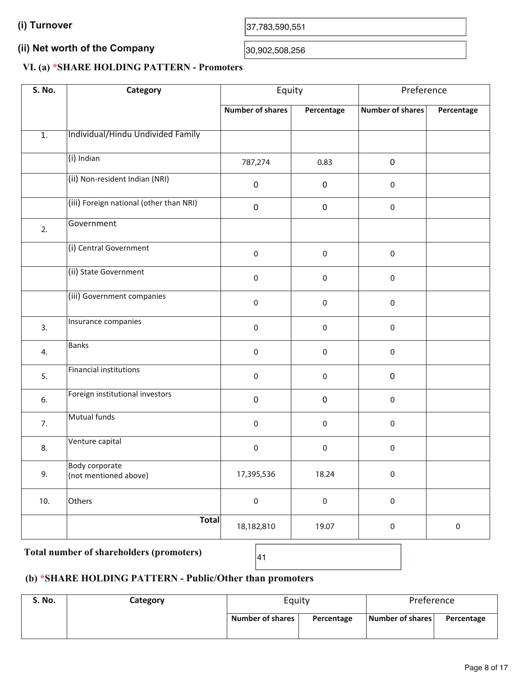(I) Turnover  $37,783,590,551$ 

#### **(ii) Net worth of the Company**  (ii) Net worth of the Company  $30,902,508,256$

#### **VI. (a) \*SHARE HOLDING PATTERN - Promoters**

| <b>S. No.</b>    | Category                                | Equity                  |            | Preference              |             |
|------------------|-----------------------------------------|-------------------------|------------|-------------------------|-------------|
|                  |                                         | <b>Number of shares</b> | Percentage | <b>Number of shares</b> | Percentage  |
| $\overline{1}$ . | Individual/Hindu Undivided Family       |                         |            |                         |             |
|                  | (i) Indian                              | 787,274                 | 0.83       | 0                       |             |
|                  | (ii) Non-resident Indian (NRI)          | $\pmb{0}$               | $\pmb{0}$  | $\pmb{0}$               |             |
|                  | (iii) Foreign national (other than NRI) | $\mathsf{O}\xspace$     | $\pmb{0}$  | $\mathsf 0$             |             |
| 2.               | Government                              |                         |            |                         |             |
|                  | (i) Central Government                  | $\pmb{0}$               | $\pmb{0}$  | $\pmb{0}$               |             |
|                  | (ii) State Government                   | $\pmb{0}$               | $\pmb{0}$  | $\pmb{0}$               |             |
|                  | (iii) Government companies              | $\pmb{0}$               | 0          | $\pmb{0}$               |             |
| 3.               | Insurance companies                     | $\pmb{0}$               | $\pmb{0}$  | $\pmb{0}$               |             |
| 4.               | <b>Banks</b>                            | $\pmb{0}$               | $\pmb{0}$  | $\pmb{0}$               |             |
| 5.               | Financial institutions                  | 0                       | 0          | 0                       |             |
| 6.               | Foreign institutional investors         | $\pmb{0}$               | $\pmb{0}$  | $\pmb{0}$               |             |
| 7.               | Mutual funds                            | $\pmb{0}$               | $\pmb{0}$  | $\mathbf 0$             |             |
| 8.               | Venture capital                         | 0                       | 0          | 0                       |             |
| 9.               | Body corporate<br>(not mentioned above) | 17,395,536              | 18.24      | $\pmb{0}$               |             |
| 10.              | Others                                  | $\pmb{0}$               | $\pmb{0}$  | $\pmb{0}$               |             |
|                  | <b>Total</b>                            | 18,182,810              | 19.07      | $\pmb{0}$               | $\mathsf 0$ |

# Total number of shareholders (promoters)  $\begin{bmatrix} 41 \end{bmatrix}$

## **(b) \*SHARE HOLDING PATTERN - Public/Other than promoters**

| <b>S. No.</b> | Category | Equity                  |            | Preference       |            |  |
|---------------|----------|-------------------------|------------|------------------|------------|--|
|               |          | <b>Number of shares</b> | Percentage | Number of shares | Percentage |  |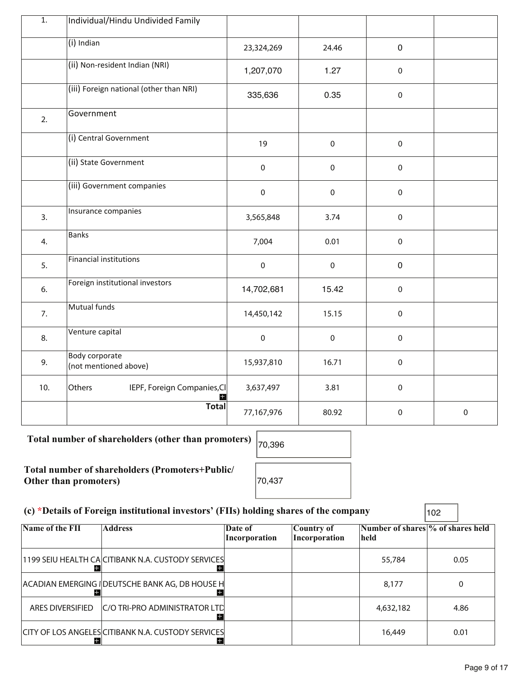| $\overline{1}$ . | Individual/Hindu Undivided Family              |                     |           |                  |           |
|------------------|------------------------------------------------|---------------------|-----------|------------------|-----------|
|                  | $(i)$ Indian                                   | 23,324,269          | 24.46     | $\mathbf 0$      |           |
|                  | (ii) Non-resident Indian (NRI)                 | 1,207,070           | 1.27      | $\mathsf 0$      |           |
|                  | (iii) Foreign national (other than NRI)        | 335,636             | 0.35      | $\pmb{0}$        |           |
| 2.               | Government                                     |                     |           |                  |           |
|                  | (i) Central Government                         | 19                  | $\pmb{0}$ | $\mathbf 0$      |           |
|                  | (ii) State Government                          | $\mathsf{O}\xspace$ | $\pmb{0}$ | $\pmb{0}$        |           |
|                  | (iii) Government companies                     | $\pmb{0}$           | $\pmb{0}$ | $\mathbf 0$      |           |
| 3.               | Insurance companies                            | 3,565,848           | 3.74      | $\mathsf 0$      |           |
| 4.               | <b>Banks</b>                                   | 7,004               | 0.01      | $\pmb{0}$        |           |
| 5.               | <b>Financial institutions</b>                  | $\pmb{0}$           | $\pmb{0}$ | $\mathbf 0$      |           |
| 6.               | Foreign institutional investors                | 14,702,681          | 15.42     | $\pmb{0}$        |           |
| 7.               | Mutual funds                                   | 14,450,142          | 15.15     | $\mathbf 0$      |           |
| 8.               | Venture capital                                | $\pmb{0}$           | $\pmb{0}$ | $\pmb{0}$        |           |
| 9.               | <b>Body corporate</b><br>(not mentioned above) | 15,937,810          | 16.71     | $\pmb{0}$        |           |
| 10.              | Others<br>IEPF, Foreign Companies, CI<br>H.    | 3,637,497           | 3.81      | $\pmb{0}$        |           |
|                  | <b>Total</b>                                   | 77,167,976          | 80.92     | $\boldsymbol{0}$ | $\pmb{0}$ |

Total number of shareholders (other than promoters)  $\vert_{70,396}$ 

**Total number of shareholders (Promoters+Public/ Other than promoters)** 70,437

#### **(c) \*Details of Foreign institutional investors' (FIIs) holding shares of the company** 102

**Name of the FII Address Date of Country of Number of shares % of shares held Incorporation Incorporation held**  1199 SEIU HEALTH CA CITIBANK N.A. CUSTODY SERVICES **1199 SEIU HEALTH CA** CITIBANK N.A. CUSTODY SERVICES **12** ACADIAN EMERGING I DEUTSCHE BANK AG, DB HOUSE H 8,177 8,177 0 ARES DIVERSIFIED C/O TRI-PRO ADMINISTRATOR LTD **AND CONTROLLER TO A 4632,182** 4.86 Е CITY OF LOS ANGELES CITIBANK N.A. CUSTODY SERVICES **16,449** 16,449 0.01 E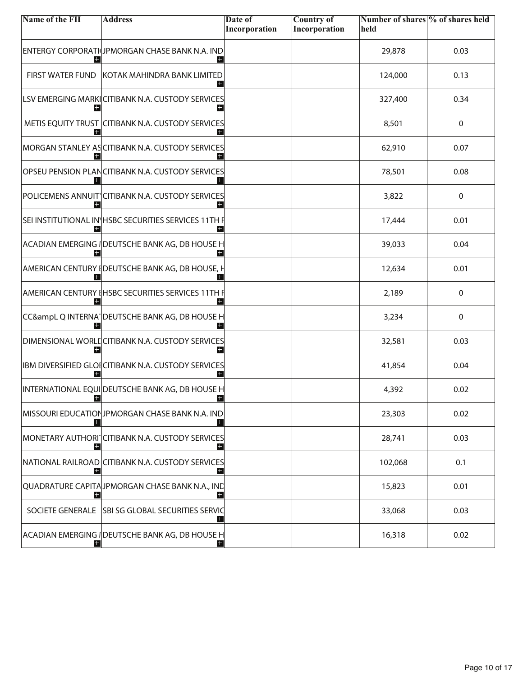| Name of the FII         | <b>Address</b>                                            | Date of       | <b>Country of</b> | Number of shares % of shares held |      |
|-------------------------|-----------------------------------------------------------|---------------|-------------------|-----------------------------------|------|
|                         |                                                           | Incorporation | Incorporation     | held                              |      |
|                         | ENTERGY CORPORATI JPMORGAN CHASE BANK N.A. IND<br>Ы       |               |                   | 29,878                            | 0.03 |
| <b>FIRST WATER FUND</b> | KOTAK MAHINDRA BANK LIMITED<br>H                          |               |                   | 124,000                           | 0.13 |
|                         | LSV EMERGING MARKI CITIBANK N.A. CUSTODY SERVICES<br>Ŧ    |               |                   | 327,400                           | 0.34 |
|                         | METIS EQUITY TRUST CITIBANK N.A. CUSTODY SERVICES         |               |                   | 8,501                             | 0    |
|                         | MORGAN STANLEY ASCITIBANK N.A. CUSTODY SERVICES<br>H      |               |                   | 62,910                            | 0.07 |
| H                       | OPSEU PENSION PLANCITIBANK N.A. CUSTODY SERVICES<br>Ŧ     |               |                   | 78,501                            | 0.08 |
| Н                       | POLICEMENS ANNUIT CITIBANK N.A. CUSTODY SERVICES<br>Ŧ     |               |                   | 3,822                             | 0    |
| н                       | SEI INSTITUTIONAL IN HSBC SECURITIES SERVICES 11TH F<br>H |               |                   | 17,444                            | 0.01 |
|                         | ACADIAN EMERGING I DEUTSCHE BANK AG, DB HOUSE H           |               |                   | 39,033                            | 0.04 |
| Н                       | AMERICAN CENTURY I DEUTSCHE BANK AG, DB HOUSE, H<br>H     |               |                   | 12,634                            | 0.01 |
| Н                       | AMERICAN CENTURY I HSBC SECURITIES SERVICES 11TH I        |               |                   | 2,189                             | 0    |
|                         | CC&ampL Q INTERNA DEUTSCHE BANK AG, DB HOUSE H            |               |                   | 3,234                             | 0    |
| H                       | DIMENSIONAL WORLI CITIBANK N.A. CUSTODY SERVICES<br>H     |               |                   | 32,581                            | 0.03 |
|                         | IBM DIVERSIFIED GLOICITIBANK N.A. CUSTODY SERVICES        |               |                   | 41,854                            | 0.04 |
|                         | INTERNATIONAL EQUIDEUTSCHE BANK AG, DB HOUSE H            |               |                   | 4,392                             | 0.02 |
| H                       | MISSOURI EDUCATIONJPMORGAN CHASE BANK N.A. IND<br>H       |               |                   | 23,303                            | 0.02 |
| Н                       | MONETARY AUTHORI CITIBANK N.A. CUSTODY SERVICES<br>H      |               |                   | 28,741                            | 0.03 |
| Н                       | NATIONAL RAILROAD CITIBANK N.A. CUSTODY SERVICES<br>$+$   |               |                   | 102,068                           | 0.1  |
|                         | QUADRATURE CAPITA JPMORGAN CHASE BANK N.A., IND           |               |                   | 15,823                            | 0.01 |
|                         | SOCIETE GENERALE SBI SG GLOBAL SECURITIES SERVIC<br>H     |               |                   | 33,068                            | 0.03 |
| н                       | ACADIAN EMERGING I DEUTSCHE BANK AG, DB HOUSE H<br>H      |               |                   | 16,318                            | 0.02 |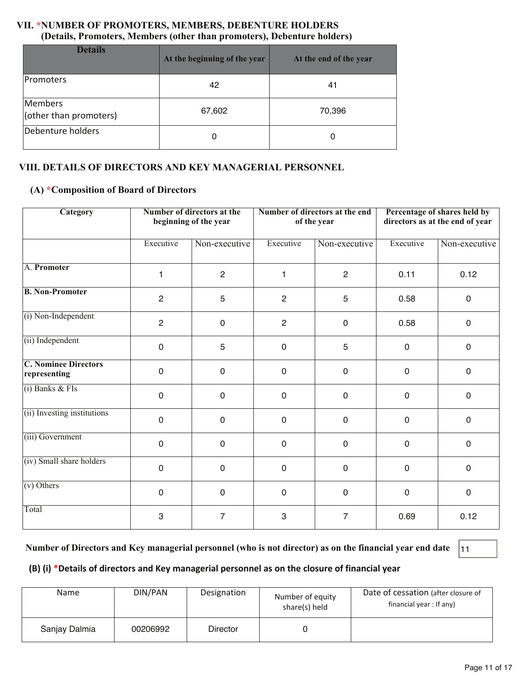#### **VII. \*NUMBER OF PROMOTERS, MEMBERS, DEBENTURE HOLDERS (Details, Promoters, Members (other than promoters), Debenture holders)**

| <b>Details</b>                    | At the beginning of the year | At the end of the year |  |
|-----------------------------------|------------------------------|------------------------|--|
| Promoters                         | 42                           | 41                     |  |
| Members<br>(other than promoters) | 67,602                       | 70,396                 |  |
| Debenture holders                 | 0                            | 0                      |  |

#### **VIII. DETAILS OF DIRECTORS AND KEY MANAGERIAL PERSONNEL**

#### **(A) \*Composition of Board of Directors**

| <b>Category</b>                             |                | Number of directors at the<br>beginning of the year |                | Number of directors at the end<br>of the year |             | Percentage of shares held by<br>directors as at the end of year |  |
|---------------------------------------------|----------------|-----------------------------------------------------|----------------|-----------------------------------------------|-------------|-----------------------------------------------------------------|--|
|                                             | Executive      | Non-executive                                       | Executive      | Non-executive                                 | Executive   | Non-executive                                                   |  |
| A. Promoter                                 | 1              | $\overline{2}$                                      | 1              | $\overline{2}$                                | 0.11        | 0.12                                                            |  |
| <b>B. Non-Promoter</b>                      | $\overline{2}$ | 5                                                   | $\overline{2}$ | 5                                             | 0.58        | $\mathbf 0$                                                     |  |
| (i) Non-Independent                         | $\overline{2}$ | $\mathbf 0$                                         | $\overline{c}$ | $\mathbf 0$                                   | 0.58        | $\mathbf 0$                                                     |  |
| (ii) Independent                            | $\mathbf 0$    | 5                                                   | $\mathbf 0$    | 5                                             | $\mathbf 0$ | $\mathbf 0$                                                     |  |
| <b>C. Nominee Directors</b><br>representing | $\mathbf 0$    | $\overline{0}$                                      | $\mathbf 0$    | $\mathbf 0$                                   | 0           | $\mathbf 0$                                                     |  |
| $(i)$ Banks & FIs                           | $\mathbf 0$    | $\mathbf 0$                                         | $\mathbf 0$    | $\mathbf 0$                                   | 0           | $\mathbf 0$                                                     |  |
| (ii) Investing institutions                 | $\mathbf 0$    | $\mathbf 0$                                         | $\mathbf 0$    | $\mathbf 0$                                   | 0           | $\mathbf 0$                                                     |  |
| (iii) Government                            | $\mathbf 0$    | $\mathbf 0$                                         | $\mathbf 0$    | $\mathbf 0$                                   | 0           | $\mathbf 0$                                                     |  |
| (iv) Small share holders                    | $\mathbf 0$    | $\mathbf 0$                                         | $\mathbf 0$    | $\mathbf 0$                                   | 0           | $\mathbf 0$                                                     |  |
| $(v)$ Others                                | $\mathbf 0$    | $\overline{0}$                                      | $\mathbf 0$    | $\overline{0}$                                | $\mathbf 0$ | $\mathbf 0$                                                     |  |
| Total                                       | 3              | $\overline{7}$                                      | 3              | $\overline{7}$                                | 0.69        | 0.12                                                            |  |

#### **Number of Directors and Key managerial personnel (who is not director) as on the financial year end date** 11

#### **(B) (i) \*Details of directors and Key managerial personnel as on the closure of financial year**

| Name          | DIN/PAN  | Designation | Number of equity<br>share(s) held | Date of cessation (after closure of<br>financial year: If any) |
|---------------|----------|-------------|-----------------------------------|----------------------------------------------------------------|
| Sanjay Dalmia | 00206992 | Director    |                                   |                                                                |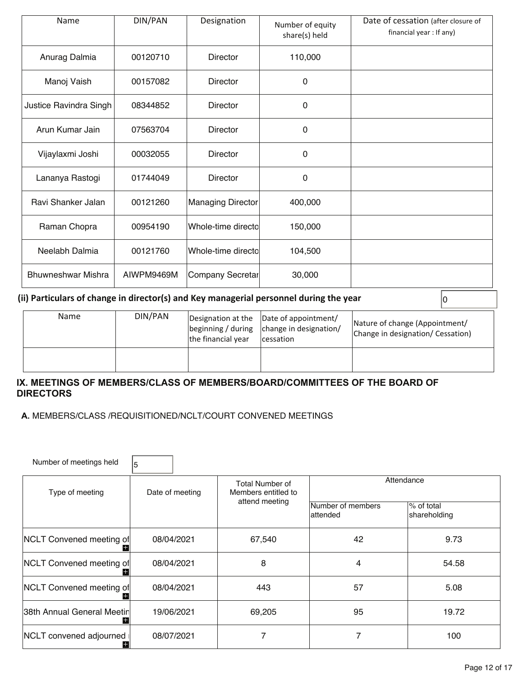| Name                   | DIN/PAN    | Designation        | Number of equity<br>share(s) held | Date of cessation (after closure of<br>financial year : If any) |
|------------------------|------------|--------------------|-----------------------------------|-----------------------------------------------------------------|
| Anurag Dalmia          | 00120710   | <b>Director</b>    | 110,000                           |                                                                 |
| Manoj Vaish            | 00157082   | <b>Director</b>    | 0                                 |                                                                 |
| Justice Ravindra Singh | 08344852   | Director           | $\mathbf{0}$                      |                                                                 |
| Arun Kumar Jain        | 07563704   | Director           | 0                                 |                                                                 |
| Vijaylaxmi Joshi       | 00032055   | <b>Director</b>    | 0                                 |                                                                 |
| Lananya Rastogi        | 01744049   | <b>Director</b>    | 0                                 |                                                                 |
| Ravi Shanker Jalan     | 00121260   | Managing Director  | 400,000                           |                                                                 |
| Raman Chopra           | 00954190   | Whole-time directo | 150,000                           |                                                                 |
| Neelabh Dalmia         | 00121760   | Whole-time directo | 104,500                           |                                                                 |
| Bhuwneshwar Mishra     | AIWPM9469M | Company Secretar   | 30,000                            |                                                                 |

#### **(ii) Particulars of change in director(s) and Key managerial personnel during the year**  $\vert$  **0**

| <b>Name</b> | DIN/PAN | the financial year | Designation at the  Date of appointment/<br> beginning / during   change in designation/<br>cessation | Nature of change (Appointment/<br>Change in designation/ Cessation) |
|-------------|---------|--------------------|-------------------------------------------------------------------------------------------------------|---------------------------------------------------------------------|
|             |         |                    |                                                                                                       |                                                                     |

#### **IX. MEETINGS OF MEMBERS/CLASS OF MEMBERS/BOARD/COMMITTEES OF THE BOARD OF DIRECTORS**

 **A.** MEMBERS/CLASS /REQUISITIONED/NCLT/COURT CONVENED MEETINGS

| Number of meetings held      | 5               |                                               |                                |                            |  |
|------------------------------|-----------------|-----------------------------------------------|--------------------------------|----------------------------|--|
| Type of meeting              | Date of meeting | <b>Total Number of</b><br>Members entitled to | Attendance                     |                            |  |
|                              |                 | attend meeting                                | Number of members<br>lattended | % of total<br>shareholding |  |
| NCLT Convened meeting of     | 08/04/2021      | 67,540                                        | 42                             | 9.73                       |  |
| NCLT Convened meeting of     | 08/04/2021      | 8                                             | 4                              | 54.58                      |  |
| NCLT Convened meeting of     | 08/04/2021      | 443                                           | 57                             | 5.08                       |  |
| 38th Annual General Meetin   | 19/06/2021      | 69,205                                        | 95                             | 19.72                      |  |
| NCLT convened adjourned<br>÷ | 08/07/2021      |                                               | 7                              | 100                        |  |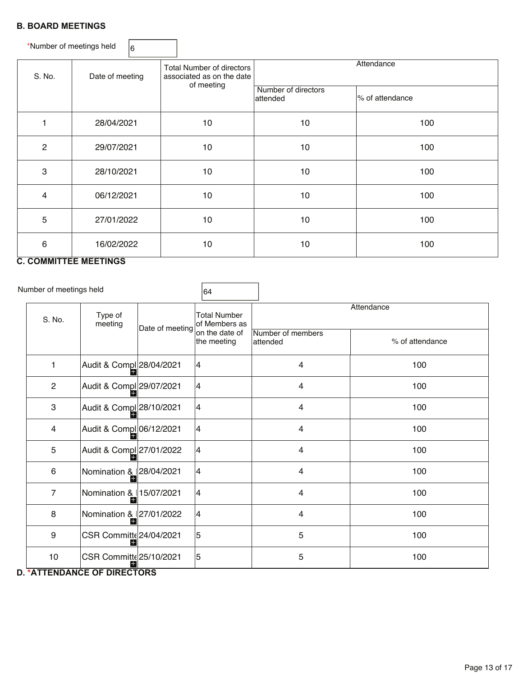#### **B. BOARD MEETINGS**

\*Number of meetings held  $\Big|_6$ S. No. Date of meeting Total Number of directors associated as on the date of meeting **Attendance**  Number of directors attended  $\overline{a}$ % of attendance 1 | 28/04/2021 | 10 | 10 | 100 2 | 29/07/2021 | 10 | 10 | 100 3 | 28/10/2021 | 10 | 10 | 100 4 | 06/12/2021 | 10 | 10 | 100 5 27/01/2022 10 10 100 6 16/02/2022 10 10 10 10 100

#### **C. COMMITTEE MEETINGS**

Number of meetings held

| 64 |  |  |
|----|--|--|
|    |  |  |

| S. No.         | Type of<br>meeting                                     | Date of meeting | <b>Total Number</b><br>of Members as |                                | Attendance      |
|----------------|--------------------------------------------------------|-----------------|--------------------------------------|--------------------------------|-----------------|
|                |                                                        |                 | on the date of<br>the meeting        | Number of members<br>lattended | % of attendance |
| 1              | Audit & Compl 28/04/2021                               |                 | 4                                    | 4                              | 100             |
| $\mathbf{2}$   | Audit & Compl 29/07/2021                               |                 | $\overline{\mathbf{4}}$              | 4                              | 100             |
| 3              | Audit & Compl 28/10/2021                               |                 | 4                                    | 4                              | 100             |
| 4              | Audit & Compl 06/12/2021                               |                 | 4                                    | 4                              | 100             |
| 5              | Audit & Compl 27/01/2022                               |                 | 14                                   | 4                              | 100             |
| 6              | Nomination & $ 28/04/2021 $                            |                 | 4                                    | 4                              | 100             |
| $\overline{7}$ | Nomination & 15/07/2021                                |                 | 4                                    | 4                              | 100             |
| 8              | Nomination & 27/01/2022                                |                 | 4                                    | 4                              | 100             |
| 9              | CSR Committe 24/04/2021                                |                 | 5                                    | 5                              | 100             |
| 10             | CSR Committe 25/10/2021<br>H<br>$111APAP$ $PIRPROPROR$ |                 | 5                                    | 5                              | 100             |

#### **D. \*ATTENDANCE OF DIRECTORS**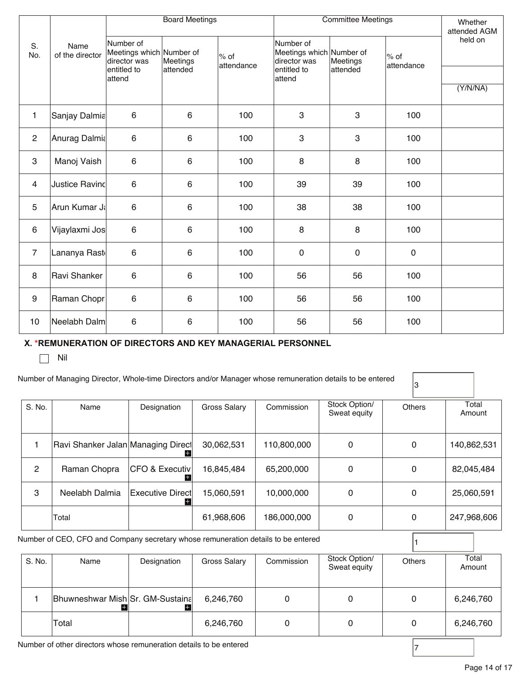|                |                         |                                                       | <b>Board Meetings</b> |                      | <b>Committee Meetings</b>                             |              |                      | Whether<br>attended AGM |
|----------------|-------------------------|-------------------------------------------------------|-----------------------|----------------------|-------------------------------------------------------|--------------|----------------------|-------------------------|
| S.<br>No.      | Name<br>of the director | Number of<br>Meetings which Number of<br>director was | Meetings              | $%$ of<br>attendance | Number of<br>Meetings which Number of<br>director was | Meetings     | $%$ of<br>attendance | held on                 |
|                |                         | entitled to<br>attend                                 | attended              |                      | entitled to<br>attend                                 | attended     |                      |                         |
|                |                         |                                                       |                       |                      |                                                       |              |                      | (Y/N/NA)                |
| 1              | Sanjay Dalmia           | $6\phantom{1}$                                        | 6                     | 100                  | 3                                                     | 3            | 100                  |                         |
| $\mathbf{2}$   | Anurag Dalmia           | 6                                                     | 6                     | 100                  | 3                                                     | $\mathbf{3}$ | 100                  |                         |
| 3              | Manoj Vaish             | $6\phantom{1}$                                        | 6                     | 100                  | 8                                                     | 8            | 100                  |                         |
| 4              | <b>Justice Ravind</b>   | $6\phantom{1}$                                        | 6                     | 100                  | 39                                                    | 39           | 100                  |                         |
| 5              | Arun Kumar Ja           | 6                                                     | 6                     | 100                  | 38                                                    | 38           | 100                  |                         |
| 6              | Vijaylaxmi Jos          | $6\phantom{1}$                                        | 6                     | 100                  | 8                                                     | 8            | 100                  |                         |
| $\overline{7}$ | Lananya Rast            | $\,6\,$                                               | 6                     | 100                  | $\pmb{0}$                                             | $\pmb{0}$    | $\mathsf{O}\xspace$  |                         |
| 8              | Ravi Shanker            | 6                                                     | 6                     | 100                  | 56                                                    | 56           | 100                  |                         |
| 9              | Raman Chopr             | 6                                                     | 6                     | 100                  | 56                                                    | 56           | 100                  |                         |
| 10             | Neelabh Dalm            | 6                                                     | 6                     | 100                  | 56                                                    | 56           | 100                  |                         |

#### **X. \*REMUNERATION OF DIRECTORS AND KEY MANAGERIAL PERSONNEL**

 $\Box$  Nil

#### Number of Managing Director, Whole-time Directors and/or Manager whose remuneration details to be entered

3

| S. No.        | Name                               | Designation                    | Gross Salary | Commission  | Stock Option/<br>Sweat equity | <b>Others</b> | Total<br>Amount |
|---------------|------------------------------------|--------------------------------|--------------|-------------|-------------------------------|---------------|-----------------|
|               | Ravi Shanker Jalan Managing Direct | H.                             | 30,062,531   | 110,800,000 | 0                             | 0             | 140,862,531     |
| $\mathcal{P}$ | Raman Chopra                       | <b>CFO &amp; Executiv</b><br>÷ | 16,845,484   | 65,200,000  | 0                             | 0             | 82,045,484      |
| 3             | Neelabh Dalmia                     | <b>Executive Direct</b><br>+   | 15,060,591   | 10,000,000  | 0                             | 0             | 25,060,591      |
|               | Total                              |                                | 61,968,606   | 186,000,000 | 0                             | 0             | 247,968,606     |

Number of CEO, CFO and Company secretary whose remuneration details to be entered  $\begin{bmatrix} 1 \end{bmatrix}$ 

| S. No. | Name                             | Designation | <b>Gross Salary</b> | Commission | Stock Option/<br>Sweat equity | <b>Others</b> | Total<br>Amount |
|--------|----------------------------------|-------------|---------------------|------------|-------------------------------|---------------|-----------------|
|        | Bhuwneshwar Mish Sr. GM-Sustaina |             | 6,246,760           |            |                               | 0             | 6,246,760       |
|        | Total                            |             | 6,246,760           |            |                               | 0             | 6,246,760       |

Number of other directors whose remuneration details to be entered  $\begin{bmatrix} 7 \end{bmatrix}$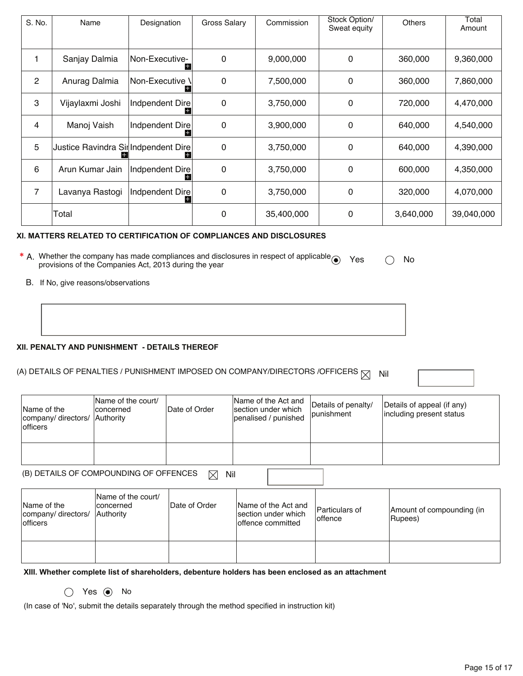| S. No.         | Name                                 | Designation           | Gross Salary | Commission | Stock Option/<br>Sweat equity | <b>Others</b> | Total<br>Amount |
|----------------|--------------------------------------|-----------------------|--------------|------------|-------------------------------|---------------|-----------------|
|                | Sanjay Dalmia                        | INon-Executive-<br>i٢ | $\mathbf{0}$ | 9,000,000  | 0                             | 360,000       | 9,360,000       |
| $\overline{2}$ | Anurag Dalmia                        | Non-Executive ∖       | 0            | 7,500,000  | 0                             | 360,000       | 7,860,000       |
| 3              | Vijaylaxmi Joshi                     | Indpendent Dire       | 0            | 3,750,000  | 0                             | 720,000       | 4,470,000       |
| 4              | Manoj Vaish                          | Indpendent Dire       | 0            | 3,900,000  | 0                             | 640,000       | 4,540,000       |
| 5              | Justice Ravindra SirlIndpendent Dire |                       | $\mathbf{0}$ | 3,750,000  | 0                             | 640,000       | 4,390,000       |
| 6              | Arun Kumar Jain                      | Indpendent Dire       | 0            | 3,750,000  | 0                             | 600,000       | 4,350,000       |
| $\overline{7}$ | Lavanya Rastogi                      | Indpendent Dire       | 0            | 3,750,000  | 0                             | 320,000       | 4,070,000       |
|                | Total                                |                       | $\mathbf{0}$ | 35,400,000 | 0                             | 3,640,000     | 39,040,000      |

#### **XI. MATTERS RELATED TO CERTIFICATION OF COMPLIANCES AND DISCLOSURES**

| * A. Whether the company has made compliances and disclosures in respect of applicable $\odot$ Yes | $\bigcirc$ No |  |
|----------------------------------------------------------------------------------------------------|---------------|--|
| provisions of the Companies Act, 2013 during the year                                              |               |  |

B. If No, give reasons/observations

#### **XII. PENALTY AND PUNISHMENT - DETAILS THEREOF**

## (A) DETAILS OF PENALTIES / PUNISHMENT IMPOSED ON COMPANY/DIRECTORS /OFFICERS  $\boxtimes$  Nil

Name of the company/ directors/ officers Name of the court/ concerned Authority Date of Order Name of the Act and section under which penalised / punished Details of penalty/ punishment Details of appeal (if any) including present status

| (B) DETAILS OF COMPOUNDING OF OFFENCES $\Box$ Nil |  |
|---------------------------------------------------|--|
|                                                   |  |

| Name of the<br>company/ directors/<br><b>lofficers</b> | Name of the court/<br>Iconcerned<br><b>Authority</b> | Date of Order | Name of the Act and<br>section under which<br>loffence committed | Particulars of<br>loffence | Amount of compounding (in<br>Rupees) |
|--------------------------------------------------------|------------------------------------------------------|---------------|------------------------------------------------------------------|----------------------------|--------------------------------------|
|                                                        |                                                      |               |                                                                  |                            |                                      |

**XIII. Whether complete list of shareholders, debenture holders has been enclosed as an attachment** 

 $\bigcirc$  Yes  $\bigcirc$  No

(In case of 'No', submit the details separately through the method specified in instruction kit)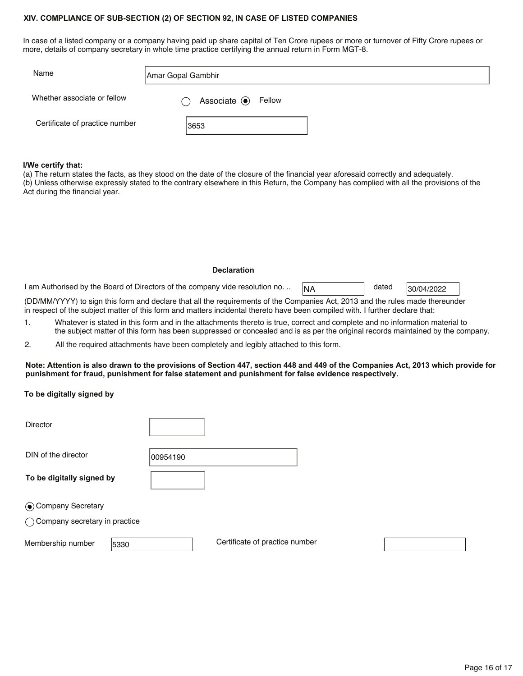#### **XIV. COMPLIANCE OF SUB-SECTION (2) OF SECTION 92, IN CASE OF LISTED COMPANIES**

In case of a listed company or a company having paid up share capital of Ten Crore rupees or more or turnover of Fifty Crore rupees or more, details of company secretary in whole time practice certifying the annual return in Form MGT-8.

| Name                           | Amar Gopal Gambhir       |
|--------------------------------|--------------------------|
| Whether associate or fellow    | Associate $\odot$ Fellow |
| Certificate of practice number | 3653                     |

#### **I/We certify that:**

(a) The return states the facts, as they stood on the date of the closure of the financial year aforesaid correctly and adequately. (b) Unless otherwise expressly stated to the contrary elsewhere in this Return, the Company has complied with all the provisions of the Act during the financial year.

#### **Declaration**

I am Authorised by the Board of Directors of the company vide resolution no. ..  $\sqrt{NA}$  dated 30/04/2022

dated

(DD/MM/YYYY) to sign this form and declare that all the requirements of the Companies Act, 2013 and the rules made thereunder in respect of the subject matter of this form and matters incidental thereto have been compiled with. I further declare that:

1. Whatever is stated in this form and in the attachments thereto is true, correct and complete and no information material to the subject matter of this form has been suppressed or concealed and is as per the original records maintained by the company.

2. All the required attachments have been completely and legibly attached to this form.

#### **Note: Attention is also drawn to the provisions of Section 447, section 448 and 449 of the Companies Act, 2013 which provide for punishment for fraud, punishment for false statement and punishment for false evidence respectively.**

#### **To be digitally signed by**

| <b>Director</b>                 |          |                                |  |  |
|---------------------------------|----------|--------------------------------|--|--|
| DIN of the director             | 00954190 |                                |  |  |
| To be digitally signed by       |          |                                |  |  |
| ⊙ Company Secretary             |          |                                |  |  |
| ◯ Company secretary in practice |          |                                |  |  |
| Membership number<br>5330       |          | Certificate of practice number |  |  |